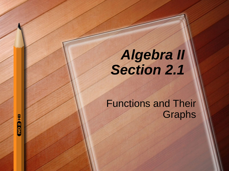# *Algebra II Section 2.1*

### Functions and Their **Graphs**

**GH GON**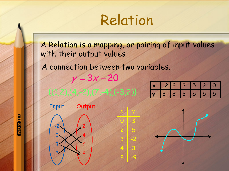

A Relation is a mapping, or pairing of input values with their output values

 $x \mid y$ 

0 3

2 5

 $3 \mid -2$ 

4 3

 $\overline{\phantom{0}}$ 

A connection between two variables.

| y 3 3 3 5 5 5 |  |  |  | $x$ -2 2 3 5 2 0 |  |
|---------------|--|--|--|------------------|--|
|               |  |  |  |                  |  |

 $y = 3x - 20$ 

| $\mathsf{X}$ |                |                | $-2$ 2 3 5 |    | $\blacktriangle$ | <b>O</b> |
|--------------|----------------|----------------|------------|----|------------------|----------|
|              | $\overline{3}$ | $\overline{3}$ | <b>A</b> 3 | 15 | 15               | 5        |





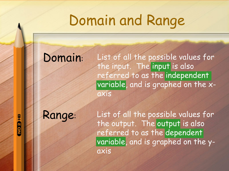# Domain and Range

### Domain:

List of all the possible values for the input. The input is also referred to as the independent variable, and is graphed on the xaxis

Range:

List of all the possible values for the output. The output is also referred to as the dependent variable, and is graphed on the yaxis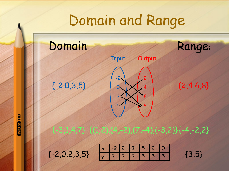# Domain and Range

## Domain: Range:



Input **Output** 

**THOSP** 



{(1,2),(4,-2),(7,-4),(-3,2)} {-3,1,4,7} {-4,-2,2}

{-2,0,2,3,5}

 $x$  -2 2 3 5 2 0 y 3 3 3 5 5 5

{3,5}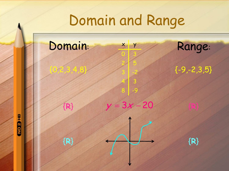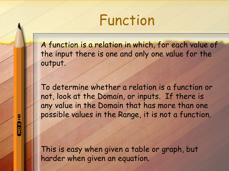## Function

A function is a relation in which, for each value of the input there is one and only one value for the output.

To determine whether a relation is a function or not, look at the Domain, or inputs. If there is any value in the Domain that has more than one possible values in the Range, it is not a function.

This is easy when given a table or graph, but harder when given an equation.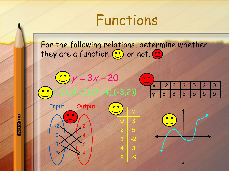## Functions

For the following relations, determine whether they are a function ( or not. ( )



**HIGRON**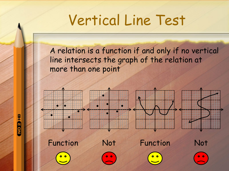# Vertical Line Test

A relation is a function if and only if no vertical line intersects the graph of the relation at more than one point



**GRON**